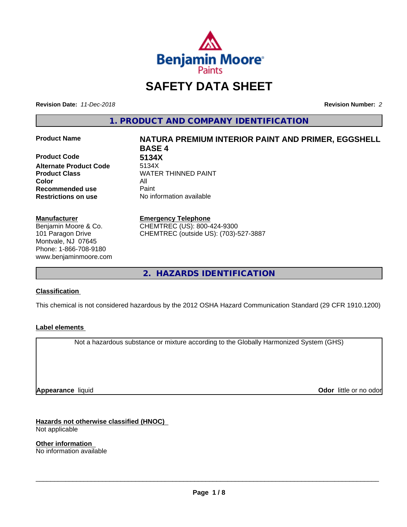

# **SAFETY DATA SHEET**

**Revision Date:** *11-Dec-2018* **Revision Number:** *2*

**1. PRODUCT AND COMPANY IDENTIFICATION**

**Product Code 6134X**<br> **Alternate Product Code** 5134X **Alternate Product Code Product Class WATER THINNED PAINT Color** All **Recommended use** Paint **Restrictions on use** No information available

#### **Manufacturer**

Benjamin Moore & Co. 101 Paragon Drive Montvale, NJ 07645 Phone: 1-866-708-9180 www.benjaminmoore.com

# **Product Name NATURA PREMIUM INTERIOR PAINT AND PRIMER, EGGSHELL BASE 4**

#### **Emergency Telephone**

CHEMTREC (US): 800-424-9300 CHEMTREC (outside US): (703)-527-3887

**2. HAZARDS IDENTIFICATION**

#### **Classification**

This chemical is not considered hazardous by the 2012 OSHA Hazard Communication Standard (29 CFR 1910.1200)

#### **Label elements**

Not a hazardous substance or mixture according to the Globally Harmonized System (GHS)

**Appearance** liquid

**Odor** little or no odor

**Hazards not otherwise classified (HNOC)** Not applicable

**Other information** No information available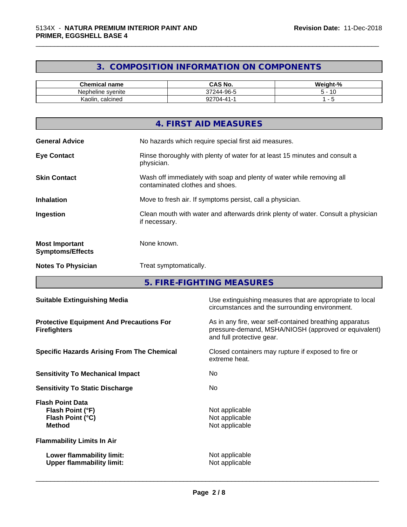# **3. COMPOSITION INFORMATION ON COMPONENTS**

\_\_\_\_\_\_\_\_\_\_\_\_\_\_\_\_\_\_\_\_\_\_\_\_\_\_\_\_\_\_\_\_\_\_\_\_\_\_\_\_\_\_\_\_\_\_\_\_\_\_\_\_\_\_\_\_\_\_\_\_\_\_\_\_\_\_\_\_\_\_\_\_\_\_\_\_\_\_\_\_\_\_\_\_\_\_\_\_\_\_\_\_\_

| <b>Chemical name</b> | CAS No.                                             | <br>$\sim$<br>weight-"<br>-70 |
|----------------------|-----------------------------------------------------|-------------------------------|
| Nepheline svenite    | -96-5<br>$\sim$ $\sim$ $\sim$ $\sim$<br>244.<br>ov. | 10                            |
| Kaolin<br>. calcined | $\sim$<br>.04-4<br>.                                |                               |

|                                                  | 4. FIRST AID MEASURES                                                                                    |
|--------------------------------------------------|----------------------------------------------------------------------------------------------------------|
| <b>General Advice</b>                            | No hazards which require special first aid measures.                                                     |
| <b>Eye Contact</b>                               | Rinse thoroughly with plenty of water for at least 15 minutes and consult a<br>physician.                |
| <b>Skin Contact</b>                              | Wash off immediately with soap and plenty of water while removing all<br>contaminated clothes and shoes. |
| <b>Inhalation</b>                                | Move to fresh air. If symptoms persist, call a physician.                                                |
| Ingestion                                        | Clean mouth with water and afterwards drink plenty of water. Consult a physician<br>if necessary.        |
| <b>Most Important</b><br><b>Symptoms/Effects</b> | None known.                                                                                              |
| <b>Notes To Physician</b>                        | Treat symptomatically.                                                                                   |

**5. FIRE-FIGHTING MEASURES**

| <b>Suitable Extinguishing Media</b>                                              | Use extinguishing measures that are appropriate to local<br>circumstances and the surrounding environment.                                   |
|----------------------------------------------------------------------------------|----------------------------------------------------------------------------------------------------------------------------------------------|
| <b>Protective Equipment And Precautions For</b><br><b>Firefighters</b>           | As in any fire, wear self-contained breathing apparatus<br>pressure-demand, MSHA/NIOSH (approved or equivalent)<br>and full protective gear. |
| <b>Specific Hazards Arising From The Chemical</b>                                | Closed containers may rupture if exposed to fire or<br>extreme heat.                                                                         |
| <b>Sensitivity To Mechanical Impact</b>                                          | No.                                                                                                                                          |
| <b>Sensitivity To Static Discharge</b>                                           | No.                                                                                                                                          |
| <b>Flash Point Data</b><br>Flash Point (°F)<br>Flash Point (°C)<br><b>Method</b> | Not applicable<br>Not applicable<br>Not applicable                                                                                           |
| <b>Flammability Limits In Air</b>                                                |                                                                                                                                              |
| Lower flammability limit:<br><b>Upper flammability limit:</b>                    | Not applicable<br>Not applicable                                                                                                             |
|                                                                                  |                                                                                                                                              |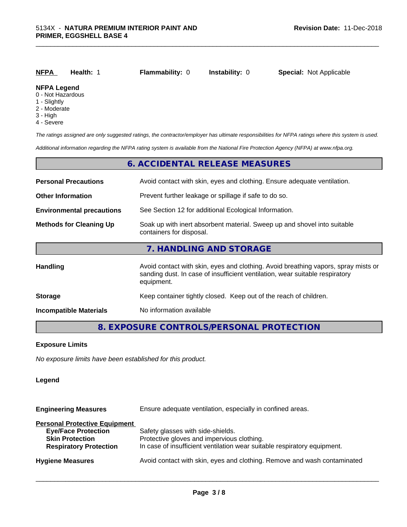| <b>NFPA</b>                             | Health: | <b>Flammability: 0</b> | <b>Instability: 0</b> | <b>Special: Not Applicable</b> |  |
|-----------------------------------------|---------|------------------------|-----------------------|--------------------------------|--|
| <b>NFPA Legend</b><br>0 - Not Hazardous |         |                        |                       |                                |  |

\_\_\_\_\_\_\_\_\_\_\_\_\_\_\_\_\_\_\_\_\_\_\_\_\_\_\_\_\_\_\_\_\_\_\_\_\_\_\_\_\_\_\_\_\_\_\_\_\_\_\_\_\_\_\_\_\_\_\_\_\_\_\_\_\_\_\_\_\_\_\_\_\_\_\_\_\_\_\_\_\_\_\_\_\_\_\_\_\_\_\_\_\_

- 1 Slightly
- 2 Moderate
- 
- 3 High
- 4 Severe

*The ratings assigned are only suggested ratings, the contractor/employer has ultimate responsibilities for NFPA ratings where this system is used.*

*Additional information regarding the NFPA rating system is available from the National Fire Protection Agency (NFPA) at www.nfpa.org.*

|                                                                                                                                        | 6. ACCIDENTAL RELEASE MEASURES                                                                                                                                                   |  |  |
|----------------------------------------------------------------------------------------------------------------------------------------|----------------------------------------------------------------------------------------------------------------------------------------------------------------------------------|--|--|
| <b>Personal Precautions</b>                                                                                                            | Avoid contact with skin, eyes and clothing. Ensure adequate ventilation.                                                                                                         |  |  |
| <b>Other Information</b>                                                                                                               | Prevent further leakage or spillage if safe to do so.                                                                                                                            |  |  |
| <b>Environmental precautions</b>                                                                                                       | See Section 12 for additional Ecological Information.                                                                                                                            |  |  |
| Soak up with inert absorbent material. Sweep up and shovel into suitable<br><b>Methods for Cleaning Up</b><br>containers for disposal. |                                                                                                                                                                                  |  |  |
|                                                                                                                                        | 7. HANDLING AND STORAGE                                                                                                                                                          |  |  |
| <b>Handling</b>                                                                                                                        | Avoid contact with skin, eyes and clothing. Avoid breathing vapors, spray mists or<br>sanding dust. In case of insufficient ventilation, wear suitable respiratory<br>equipment. |  |  |
| <b>Storage</b>                                                                                                                         | Keep container tightly closed. Keep out of the reach of children.                                                                                                                |  |  |
| <b>Incompatible Materials</b>                                                                                                          | No information available                                                                                                                                                         |  |  |
|                                                                                                                                        |                                                                                                                                                                                  |  |  |

## **8. EXPOSURE CONTROLS/PERSONAL PROTECTION**

#### **Exposure Limits**

*No exposure limits have been established for this product.*

#### **Legend**

**Engineering Measures** Ensure adequate ventilation, especially in confined areas.

#### **Personal Protective Equipment**

| <b>Eye/Face Protection</b><br><b>Skin Protection</b> | Safety glasses with side-shields.<br>Protective gloves and impervious clothing. |
|------------------------------------------------------|---------------------------------------------------------------------------------|
| <b>Respiratory Protection</b>                        | In case of insufficient ventilation wear suitable respiratory equipment.        |
| <b>Hygiene Measures</b>                              | Avoid contact with skin, eyes and clothing. Remove and wash contaminated        |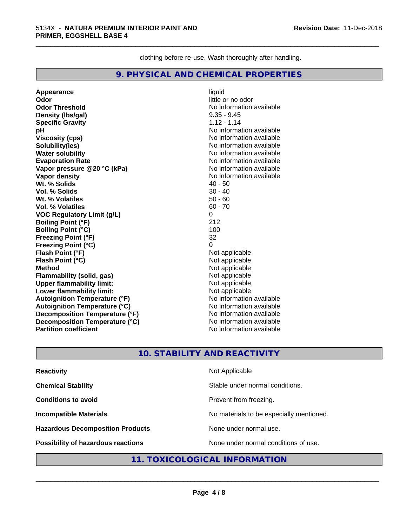clothing before re-use. Wash thoroughly after handling.

\_\_\_\_\_\_\_\_\_\_\_\_\_\_\_\_\_\_\_\_\_\_\_\_\_\_\_\_\_\_\_\_\_\_\_\_\_\_\_\_\_\_\_\_\_\_\_\_\_\_\_\_\_\_\_\_\_\_\_\_\_\_\_\_\_\_\_\_\_\_\_\_\_\_\_\_\_\_\_\_\_\_\_\_\_\_\_\_\_\_\_\_\_

#### **9. PHYSICAL AND CHEMICAL PROPERTIES**

**Appearance** liquid **Odor** little or no odor **Odor Threshold** No information available **Density (Ibs/gal)** 9.35 - 9.45<br> **Specific Gravity** 1.12 - 1.14 **Specific Gravity pH pH**  $\blacksquare$ **Viscosity (cps)** No information available **Solubility(ies)** No information available **Water solubility**<br> **Evaporation Rate**<br> **Evaporation Rate**<br> **Evaporation Rate Vapor pressure @20 °C (kPa)** No information available **Vapor density**<br> **We Solids**<br>
We Solid Wit, % Solids
2019 **Wt. % Solids Vol. % Solids** 30 - 40 **Wt. % Volatiles** 50 - 60 **Vol. % Volatiles VOC Regulatory Limit (g/L)** 0 **Boiling Point (°F)** 212 **Boiling Point (°C)** 100 **Freezing Point (°F)** 32 **Freezing Point (°C) Flash Point (°F)**<br> **Flash Point (°C)**<br> **Flash Point (°C)**<br> **Point (°C)**<br> **Point (°C)**<br> **Point (°C)**<br> **Point (°C)**<br> **Point (°C) Flash Point (°C) Method** Not applicable **Flammability (solid, gas)** Not applicable **Upper flammability limit:**<br> **Lower flammability limit:** Not applicable Not applicable **Lower flammability limit: Autoignition Temperature (°F)** No information available **Autoignition Temperature (°C)**<br> **Decomposition Temperature (°F)** No information available **Decomposition Temperature (°F) Decomposition Temperature (°C)** No information available<br> **Partition coefficient Partition available Partition coefficient** 

**Evaporation Rate** No information available

### **10. STABILITY AND REACTIVITY**

| <b>Reactivity</b>                       | Not Applicable                           |
|-----------------------------------------|------------------------------------------|
| <b>Chemical Stability</b>               | Stable under normal conditions.          |
| <b>Conditions to avoid</b>              | Prevent from freezing.                   |
| <b>Incompatible Materials</b>           | No materials to be especially mentioned. |
| <b>Hazardous Decomposition Products</b> | None under normal use.                   |
| Possibility of hazardous reactions      | None under normal conditions of use.     |

### **11. TOXICOLOGICAL INFORMATION**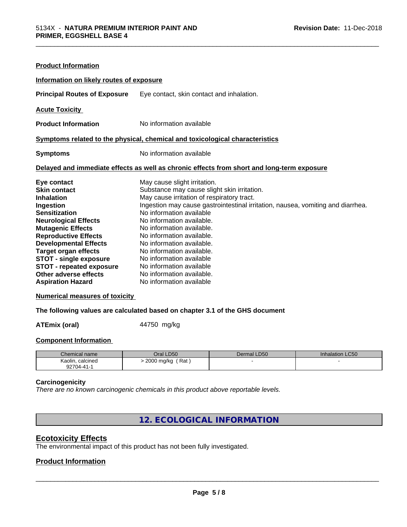| <b>Product Information</b>                                                   |                                                                                            |  |  |  |
|------------------------------------------------------------------------------|--------------------------------------------------------------------------------------------|--|--|--|
| Information on likely routes of exposure                                     |                                                                                            |  |  |  |
| <b>Principal Routes of Exposure</b>                                          | Eye contact, skin contact and inhalation.                                                  |  |  |  |
| <b>Acute Toxicity</b>                                                        |                                                                                            |  |  |  |
| <b>Product Information</b>                                                   | No information available                                                                   |  |  |  |
| Symptoms related to the physical, chemical and toxicological characteristics |                                                                                            |  |  |  |
| <b>Symptoms</b>                                                              | No information available                                                                   |  |  |  |
|                                                                              | Delayed and immediate effects as well as chronic effects from short and long-term exposure |  |  |  |
| Eye contact                                                                  | May cause slight irritation.                                                               |  |  |  |
| <b>Skin contact</b>                                                          | Substance may cause slight skin irritation.                                                |  |  |  |
| <b>Inhalation</b>                                                            | May cause irritation of respiratory tract.                                                 |  |  |  |
| Ingestion                                                                    | Ingestion may cause gastrointestinal irritation, nausea, vomiting and diarrhea.            |  |  |  |
| <b>Sensitization</b>                                                         | No information available                                                                   |  |  |  |
| <b>Neurological Effects</b>                                                  | No information available.                                                                  |  |  |  |
| <b>Mutagenic Effects</b>                                                     | No information available.                                                                  |  |  |  |
| <b>Reproductive Effects</b>                                                  | No information available.                                                                  |  |  |  |
| <b>Developmental Effects</b>                                                 | No information available.                                                                  |  |  |  |
| <b>Target organ effects</b>                                                  | No information available.                                                                  |  |  |  |
| <b>STOT - single exposure</b>                                                | No information available                                                                   |  |  |  |
| <b>STOT - repeated exposure</b>                                              | No information available                                                                   |  |  |  |
| Other adverse effects                                                        | No information available.                                                                  |  |  |  |
| <b>Aspiration Hazard</b>                                                     | No information available                                                                   |  |  |  |

#### **Numerical measures of toxicity**

**The following values are calculated based on chapter 3.1 of the GHS document**

**ATEmix (oral)** 44750 mg/kg

#### **Component Information**

| Chemical name                               | LD50<br>⊃ral              | LD50<br>Dermal | <b>Inhalation LC50</b> |
|---------------------------------------------|---------------------------|----------------|------------------------|
| calcined<br>Kaolin,<br>$\sim$ $\sim$ $\sim$ | Rat<br>2000<br>2000 ma/ka |                |                        |
| $22704 - 41 -$<br>ສ∠                        |                           |                |                        |

#### **Carcinogenicity**

*There are no known carcinogenic chemicals in this product above reportable levels.*

**12. ECOLOGICAL INFORMATION**

# **Ecotoxicity Effects**

The environmental impact of this product has not been fully investigated.

#### **Product Information**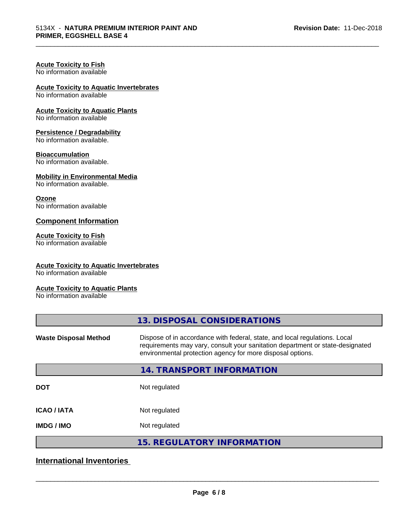\_\_\_\_\_\_\_\_\_\_\_\_\_\_\_\_\_\_\_\_\_\_\_\_\_\_\_\_\_\_\_\_\_\_\_\_\_\_\_\_\_\_\_\_\_\_\_\_\_\_\_\_\_\_\_\_\_\_\_\_\_\_\_\_\_\_\_\_\_\_\_\_\_\_\_\_\_\_\_\_\_\_\_\_\_\_\_\_\_\_\_\_\_

# **Acute Toxicity to Fish**

No information available

# **Acute Toxicity to Aquatic Invertebrates**

No information available

#### **Acute Toxicity to Aquatic Plants**

No information available

#### **Persistence / Degradability**

No information available.

#### **Bioaccumulation**

No information available.

#### **Mobility in Environmental Media**

No information available.

#### **Ozone**

No information available

#### **Component Information**

#### **Acute Toxicity to Fish**

No information available

#### **Acute Toxicity to Aquatic Invertebrates**

No information available

#### **Acute Toxicity to Aquatic Plants**

No information available

|                              | 13. DISPOSAL CONSIDERATIONS                                                                                                                                                                                               |
|------------------------------|---------------------------------------------------------------------------------------------------------------------------------------------------------------------------------------------------------------------------|
| <b>Waste Disposal Method</b> | Dispose of in accordance with federal, state, and local regulations. Local<br>requirements may vary, consult your sanitation department or state-designated<br>environmental protection agency for more disposal options. |
|                              | 14. TRANSPORT INFORMATION                                                                                                                                                                                                 |
| <b>DOT</b>                   | Not regulated                                                                                                                                                                                                             |
| <b>ICAO/IATA</b>             | Not regulated                                                                                                                                                                                                             |
| <b>IMDG / IMO</b>            | Not regulated                                                                                                                                                                                                             |
|                              | <b>15. REGULATORY INFORMATION</b>                                                                                                                                                                                         |
|                              |                                                                                                                                                                                                                           |

## **International Inventories**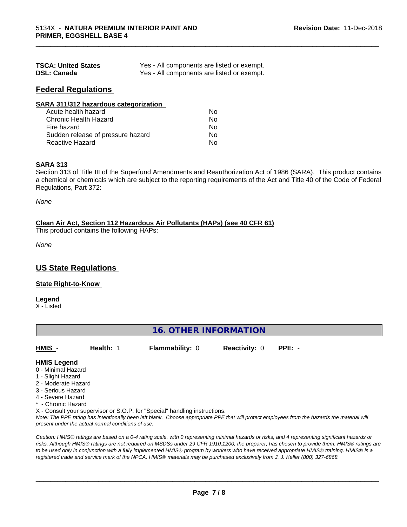| <b>TSCA: United States</b> | Yes - All components are listed or exempt. |
|----------------------------|--------------------------------------------|
| <b>DSL: Canada</b>         | Yes - All components are listed or exempt. |

#### **Federal Regulations**

| SARA 311/312 hazardous categorization |    |  |
|---------------------------------------|----|--|
| Acute health hazard                   | Nο |  |
| <b>Chronic Health Hazard</b>          | No |  |
| Fire hazard                           | No |  |
| Sudden release of pressure hazard     | Nο |  |
| <b>Reactive Hazard</b>                | No |  |

#### **SARA 313**

Section 313 of Title III of the Superfund Amendments and Reauthorization Act of 1986 (SARA). This product contains a chemical or chemicals which are subject to the reporting requirements of the Act and Title 40 of the Code of Federal Regulations, Part 372:

\_\_\_\_\_\_\_\_\_\_\_\_\_\_\_\_\_\_\_\_\_\_\_\_\_\_\_\_\_\_\_\_\_\_\_\_\_\_\_\_\_\_\_\_\_\_\_\_\_\_\_\_\_\_\_\_\_\_\_\_\_\_\_\_\_\_\_\_\_\_\_\_\_\_\_\_\_\_\_\_\_\_\_\_\_\_\_\_\_\_\_\_\_

*None*

#### **Clean Air Act,Section 112 Hazardous Air Pollutants (HAPs) (see 40 CFR 61)**

This product contains the following HAPs:

*None*

### **US State Regulations**

#### **State Right-to-Know**

**Legend**

X - Listed

#### **16. OTHER INFORMATION**

| HMIS | Health: 1 | <b>Flammability: 0</b> | <b>Reactivity: 0</b> | $PPE: -$ |
|------|-----------|------------------------|----------------------|----------|
|      |           |                        |                      |          |

#### **HMIS Legend**

- 0 Minimal Hazard
- 1 Slight Hazard
- 2 Moderate Hazard
- 3 Serious Hazard
- 4 Severe Hazard
- \* Chronic Hazard
- X Consult your supervisor or S.O.P. for "Special" handling instructions.

*Note: The PPE rating has intentionally been left blank. Choose appropriate PPE that will protect employees from the hazards the material will present under the actual normal conditions of use.*

*Caution: HMISÒ ratings are based on a 0-4 rating scale, with 0 representing minimal hazards or risks, and 4 representing significant hazards or risks. Although HMISÒ ratings are not required on MSDSs under 29 CFR 1910.1200, the preparer, has chosen to provide them. HMISÒ ratings are to be used only in conjunction with a fully implemented HMISÒ program by workers who have received appropriate HMISÒ training. HMISÒ is a registered trade and service mark of the NPCA. HMISÒ materials may be purchased exclusively from J. J. Keller (800) 327-6868.*